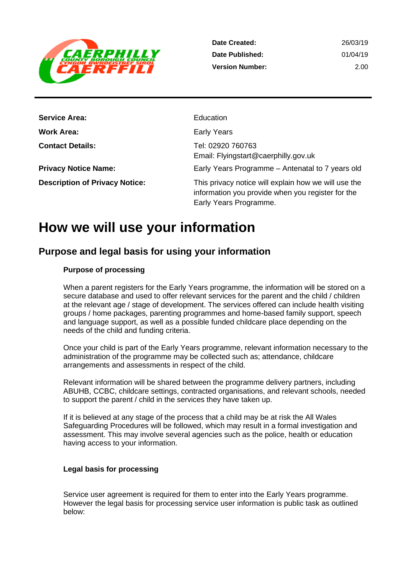

| 26/03/19 |
|----------|
| 01/04/19 |
| 2.00     |
|          |

| <b>Service Area:</b>                  | Education                                                                                                                           |
|---------------------------------------|-------------------------------------------------------------------------------------------------------------------------------------|
| Work Area:                            | <b>Early Years</b>                                                                                                                  |
| <b>Contact Details:</b>               | Tel: 02920 760763<br>Email: Flyingstart@caerphilly.gov.uk                                                                           |
| <b>Privacy Notice Name:</b>           | Early Years Programme - Antenatal to 7 years old                                                                                    |
| <b>Description of Privacy Notice:</b> | This privacy notice will explain how we will use the<br>information you provide when you register for the<br>Early Years Programme. |

## **How we will use your information**

### **Purpose and legal basis for using your information**

#### **Purpose of processing**

When a parent registers for the Early Years programme, the information will be stored on a secure database and used to offer relevant services for the parent and the child / children at the relevant age / stage of development. The services offered can include health visiting groups / home packages, parenting programmes and home-based family support, speech and language support, as well as a possible funded childcare place depending on the needs of the child and funding criteria.

Once your child is part of the Early Years programme, relevant information necessary to the administration of the programme may be collected such as; attendance, childcare arrangements and assessments in respect of the child.

Relevant information will be shared between the programme delivery partners, including ABUHB, CCBC, childcare settings, contracted organisations, and relevant schools, needed to support the parent / child in the services they have taken up.

If it is believed at any stage of the process that a child may be at risk the All Wales Safeguarding Procedures will be followed, which may result in a formal investigation and assessment. This may involve several agencies such as the police, health or education having access to your information.

#### **Legal basis for processing**

Service user agreement is required for them to enter into the Early Years programme. However the legal basis for processing service user information is public task as outlined below: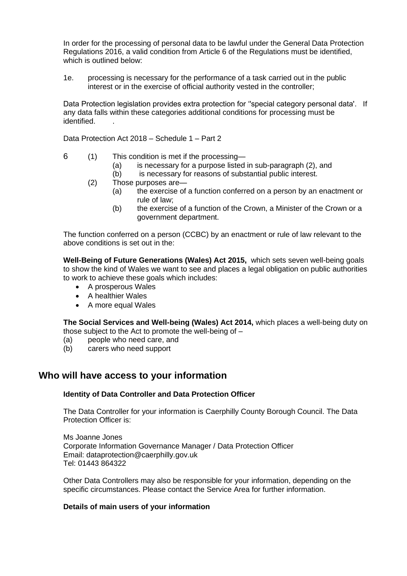In order for the processing of personal data to be lawful under the General Data Protection Regulations 2016, a valid condition from Article 6 of the Regulations must be identified, which is outlined below:

1e. processing is necessary for the performance of a task carried out in the public interest or in the exercise of official authority vested in the controller;

Data Protection legislation provides extra protection for "special category personal data'. If any data falls within these categories additional conditions for processing must be identified. .

Data Protection Act 2018 – Schedule 1 – Part 2

- 6 (1) This condition is met if the processing—
	- (a) is necessary for a purpose listed in sub-paragraph (2), and
	- (b) is necessary for reasons of substantial public interest.
	- (2) Those purposes are—
		- (a) the exercise of a function conferred on a person by an enactment or rule of law;
		- (b) the exercise of a function of the Crown, a Minister of the Crown or a government department.

The function conferred on a person (CCBC) by an enactment or rule of law relevant to the above conditions is set out in the:

**Well-Being of Future Generations (Wales) Act 2015,** which sets seven well-being goals to show the kind of Wales we want to see and places a legal obligation on public authorities to work to achieve these goals which includes:

- A prosperous Wales
- A healthier Wales
- A more equal Wales

**The Social Services and Well-being (Wales) Act 2014,** which places a well-being duty on those subject to the Act to promote the well-being of –

- (a) people who need care, and
- (b) carers who need support

#### **Who will have access to your information**

#### **Identity of Data Controller and Data Protection Officer**

The Data Controller for your information is Caerphilly County Borough Council. The Data Protection Officer is:

Ms Joanne Jones Corporate Information Governance Manager / Data Protection Officer Email: dataprotection@caerphilly.gov.uk Tel: 01443 864322

Other Data Controllers may also be responsible for your information, depending on the specific circumstances. Please contact the Service Area for further information.

#### **Details of main users of your information**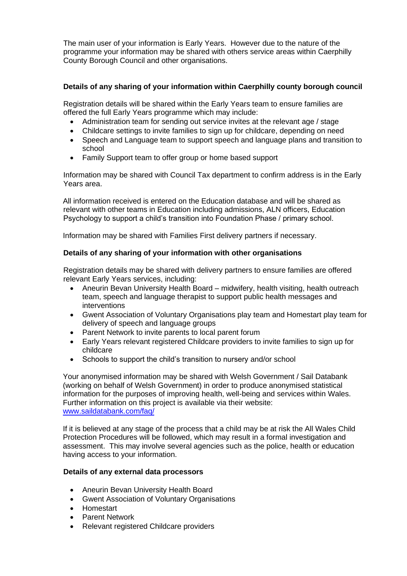The main user of your information is Early Years. However due to the nature of the programme your information may be shared with others service areas within Caerphilly County Borough Council and other organisations.

#### **Details of any sharing of your information within Caerphilly county borough council**

Registration details will be shared within the Early Years team to ensure families are offered the full Early Years programme which may include:

- Administration team for sending out service invites at the relevant age / stage
- Childcare settings to invite families to sign up for childcare, depending on need
- Speech and Language team to support speech and language plans and transition to school
- Family Support team to offer group or home based support

Information may be shared with Council Tax department to confirm address is in the Early Years area.

All information received is entered on the Education database and will be shared as relevant with other teams in Education including admissions, ALN officers, Education Psychology to support a child's transition into Foundation Phase / primary school.

Information may be shared with Families First delivery partners if necessary.

#### **Details of any sharing of your information with other organisations**

Registration details may be shared with delivery partners to ensure families are offered relevant Early Years services, including:

- Aneurin Bevan University Health Board midwifery, health visiting, health outreach team, speech and language therapist to support public health messages and interventions
- Gwent Association of Voluntary Organisations play team and Homestart play team for delivery of speech and language groups
- Parent Network to invite parents to local parent forum
- Early Years relevant registered Childcare providers to invite families to sign up for childcare
- Schools to support the child's transition to nursery and/or school

Your anonymised information may be shared with Welsh Government / Sail Databank (working on behalf of Welsh Government) in order to produce anonymised statistical information for the purposes of improving health, well-being and services within Wales. Further information on this project is available via their website: [www.saildatabank.com/faq/](http://www.saildatabank.com/faq/)

If it is believed at any stage of the process that a child may be at risk the All Wales Child Protection Procedures will be followed, which may result in a formal investigation and assessment. This may involve several agencies such as the police, health or education having access to your information.

#### **Details of any external data processors**

- Aneurin Bevan University Health Board
- Gwent Association of Voluntary Organisations
- Homestart
- Parent Network
- Relevant registered Childcare providers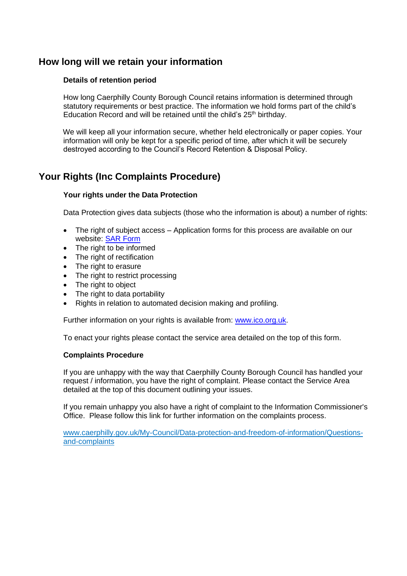## **How long will we retain your information**

#### **Details of retention period**

How long Caerphilly County Borough Council retains information is determined through statutory requirements or best practice. The information we hold forms part of the child's Education Record and will be retained until the child's 25<sup>th</sup> birthday.

We will keep all your information secure, whether held electronically or paper copies. Your information will only be kept for a specific period of time, after which it will be securely destroyed according to the Council's Record Retention & Disposal Policy.

## **Your Rights (Inc Complaints Procedure)**

#### **Your rights under the Data Protection**

Data Protection gives data subjects (those who the information is about) a number of rights:

- The right of subject access Application forms for this process are available on our website: [SAR Form](http://www.caerphilly.gov.uk/CaerphillyDocs/Council-and-democracy/sar_form.aspx)
- The right to be informed
- The right of rectification
- The right to erasure
- The right to restrict processing
- The right to object
- The right to data portability
- Rights in relation to automated decision making and profiling.

Further information on your rights is available from: [www.ico.org.uk.](http://www.ico.org.uk/)

To enact your rights please contact the service area detailed on the top of this form.

#### **Complaints Procedure**

If you are unhappy with the way that Caerphilly County Borough Council has handled your request / information, you have the right of complaint. Please contact the Service Area detailed at the top of this document outlining your issues.

If you remain unhappy you also have a right of complaint to the Information Commissioner's Office. Please follow this link for further information on the complaints process.

[www.caerphilly.gov.uk/My-Council/Data-protection-and-freedom-of-information/Questions](http://www.caerphilly.gov.uk/My-Council/Data-protection-and-freedom-of-information/Questions-and-complaints)[and-complaints](http://www.caerphilly.gov.uk/My-Council/Data-protection-and-freedom-of-information/Questions-and-complaints)